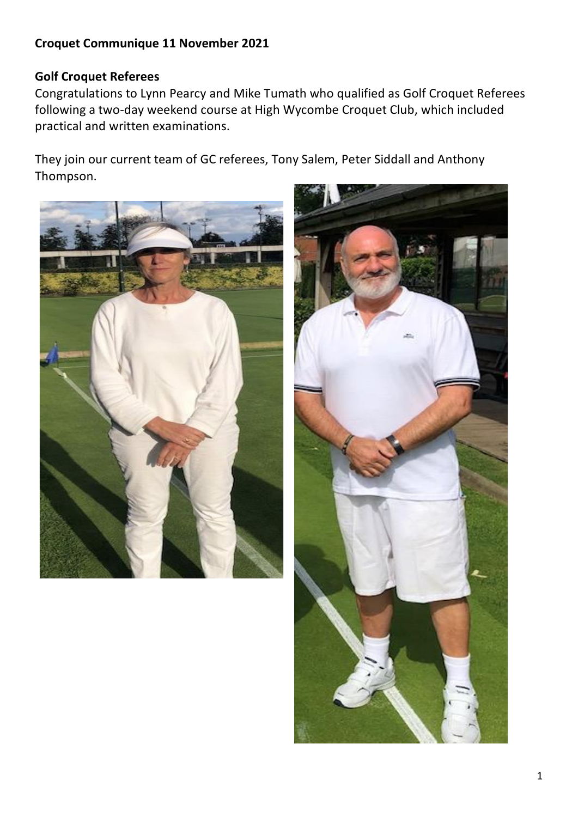## **Croquet Communique 11 November 2021**

## **Golf Croquet Referees**

Congratulations to Lynn Pearcy and Mike Tumath who qualified as Golf Croquet Referees following a two-day weekend course at High Wycombe Croquet Club, which included practical and written examinations.

They join our current team of GC referees, Tony Salem, Peter Siddall and Anthony Thompson.



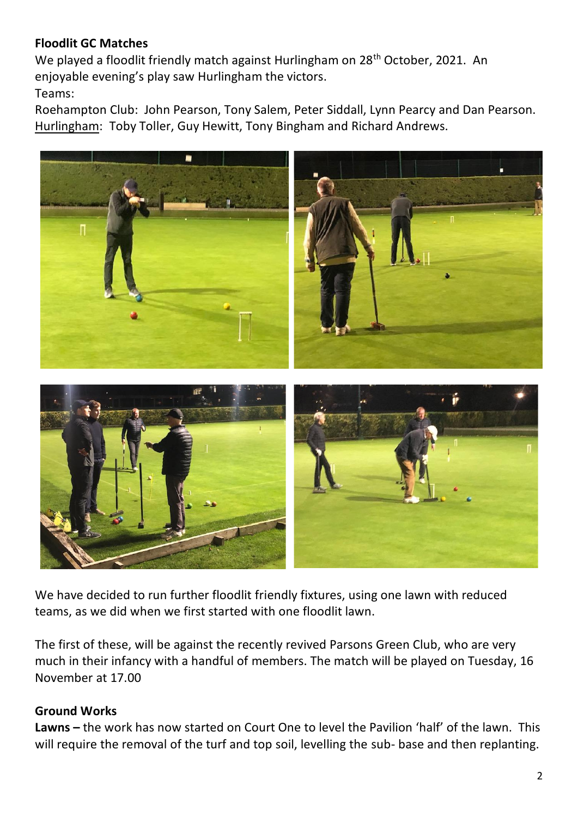## **Floodlit GC Matches**

We played a floodlit friendly match against Hurlingham on 28<sup>th</sup> October, 2021. An enjoyable evening's play saw Hurlingham the victors.

Teams:

Roehampton Club: John Pearson, Tony Salem, Peter Siddall, Lynn Pearcy and Dan Pearson. Hurlingham: Toby Toller, Guy Hewitt, Tony Bingham and Richard Andrews.



We have decided to run further floodlit friendly fixtures, using one lawn with reduced teams, as we did when we first started with one floodlit lawn.

The first of these, will be against the recently revived Parsons Green Club, who are very much in their infancy with a handful of members. The match will be played on Tuesday, 16 November at 17.00

## **Ground Works**

**Lawns –** the work has now started on Court One to level the Pavilion 'half' of the lawn. This will require the removal of the turf and top soil, levelling the sub- base and then replanting.